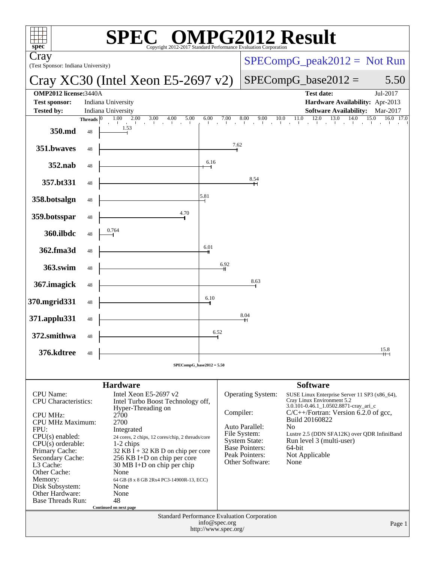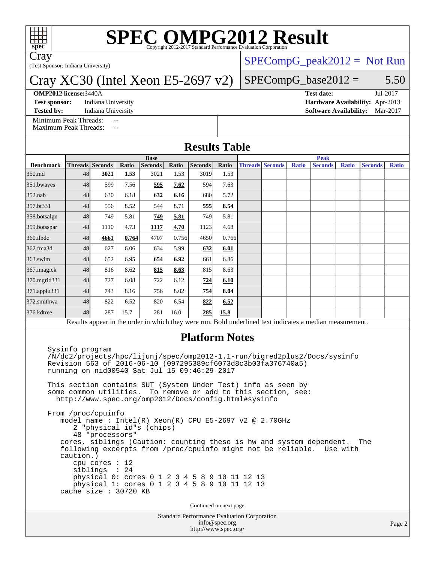

# **[SPEC OMPG2012 Result](http://www.spec.org/auto/omp2012/Docs/result-fields.html#SPECOMPG2012Result)**

Cray

(Test Sponsor: Indiana University)

### Cray XC30 (Intel Xeon E5-2697 v2)

#### **[OMP2012 license:](http://www.spec.org/auto/omp2012/Docs/result-fields.html#OMP2012license)**3440A **[Test date:](http://www.spec.org/auto/omp2012/Docs/result-fields.html#Testdate)** Jul-2017

**[Test sponsor:](http://www.spec.org/auto/omp2012/Docs/result-fields.html#Testsponsor)** Indiana University **[Hardware Availability:](http://www.spec.org/auto/omp2012/Docs/result-fields.html#HardwareAvailability)** Apr-2013

 $SPECompG_peak2012 = Not Run$  $SPECompG_peak2012 = Not Run$ 

### $SPECompG_base2012 = 5.50$  $SPECompG_base2012 = 5.50$

**[Tested by:](http://www.spec.org/auto/omp2012/Docs/result-fields.html#Testedby)** Indiana University **[Software Availability:](http://www.spec.org/auto/omp2012/Docs/result-fields.html#SoftwareAvailability)** Mar-2017

[Minimum Peak Threads:](http://www.spec.org/auto/omp2012/Docs/result-fields.html#MinimumPeakThreads)

[Maximum Peak Threads:](http://www.spec.org/auto/omp2012/Docs/result-fields.html#MaximumPeakThreads)

| <b>Results Table</b> |             |                        |       |                |       |                       |       |             |                        |              |                                                                                                          |              |                |              |
|----------------------|-------------|------------------------|-------|----------------|-------|-----------------------|-------|-------------|------------------------|--------------|----------------------------------------------------------------------------------------------------------|--------------|----------------|--------------|
|                      | <b>Base</b> |                        |       |                |       |                       |       | <b>Peak</b> |                        |              |                                                                                                          |              |                |              |
| <b>Benchmark</b>     |             | <b>Threads</b> Seconds | Ratio | <b>Seconds</b> | Ratio | Seconds               | Ratio |             | <b>Threads Seconds</b> | <b>Ratio</b> | <b>Seconds</b>                                                                                           | <b>Ratio</b> | <b>Seconds</b> | <b>Ratio</b> |
| 350.md               | 48          | 3021                   | 1.53  | 3021           | 1.53  | 3019                  | 1.53  |             |                        |              |                                                                                                          |              |                |              |
| 351.bwaves           | 48          | 599                    | 7.56  | 595            | 7.62  | 594                   | 7.63  |             |                        |              |                                                                                                          |              |                |              |
| $352$ .nab           | 48          | 630                    | 6.18  | 632            | 6.16  | 680                   | 5.72  |             |                        |              |                                                                                                          |              |                |              |
| 357.bt331            | 48          | 556                    | 8.52  | 544            | 8.71  | 555                   | 8.54  |             |                        |              |                                                                                                          |              |                |              |
| 358.botsalgn         | 48          | 749                    | 5.81  | 749            | 5.81  | 749                   | 5.81  |             |                        |              |                                                                                                          |              |                |              |
| 359.botsspar         | 48          | 1110                   | 4.73  | 1117           | 4.70  | 1123                  | 4.68  |             |                        |              |                                                                                                          |              |                |              |
| $360$ .ilbdc         | 48          | 4661                   | 0.764 | 4707           | 0.756 | 4650                  | 0.766 |             |                        |              |                                                                                                          |              |                |              |
| 362.fma3d            | 48          | 627                    | 6.06  | 634            | 5.99  | 632                   | 6.01  |             |                        |              |                                                                                                          |              |                |              |
| $363$ .swim          | 48          | 652                    | 6.95  | 654            | 6.92  | 661                   | 6.86  |             |                        |              |                                                                                                          |              |                |              |
| 367.imagick          | 48          | 816                    | 8.62  | 815            | 8.63  | 815                   | 8.63  |             |                        |              |                                                                                                          |              |                |              |
| 370.mgrid331         | 48          | 727                    | 6.08  | 722            | 6.12  | 724                   | 6.10  |             |                        |              |                                                                                                          |              |                |              |
| 371.applu331         | 48          | 743                    | 8.16  | 756            | 8.02  | 754                   | 8.04  |             |                        |              |                                                                                                          |              |                |              |
| 372.smithwa          | 48          | 822                    | 6.52  | 820            | 6.54  | 822                   | 6.52  |             |                        |              |                                                                                                          |              |                |              |
| 376.kdtree           | 48          | 287                    | 15.7  | 281            | 16.0  | 285                   | 15.8  |             |                        |              |                                                                                                          |              |                |              |
|                      |             |                        |       |                |       |                       |       |             |                        |              | Results appear in the order in which they were run. Bold underlined text indicates a median measurement. |              |                |              |
|                      |             |                        |       |                |       | <b>Platform Notes</b> |       |             |                        |              |                                                                                                          |              |                |              |

 Sysinfo program /N/dc2/projects/hpc/lijunj/spec/omp2012-1.1-run/bigred2plus2/Docs/sysinfo Revision 563 of 2016-06-10 (097295389cf6073d8c3b03fa376740a5) running on nid00540 Sat Jul 15 09:46:29 2017

 This section contains SUT (System Under Test) info as seen by some common utilities. To remove or add to this section, see: <http://www.spec.org/omp2012/Docs/config.html#sysinfo>

 From /proc/cpuinfo model name : Intel(R) Xeon(R) CPU E5-2697 v2 @ 2.70GHz 2 "physical id"s (chips) 48 "processors" cores, siblings (Caution: counting these is hw and system dependent. The following excerpts from /proc/cpuinfo might not be reliable. Use with caution.) cpu cores : 12 siblings : 24 physical 0: cores 0 1 2 3 4 5 8 9 10 11 12 13 physical 1: cores 0 1 2 3 4 5 8 9 10 11 12 13 cache size : 30720 KB

Continued on next page

Standard Performance Evaluation Corporation [info@spec.org](mailto:info@spec.org) <http://www.spec.org/>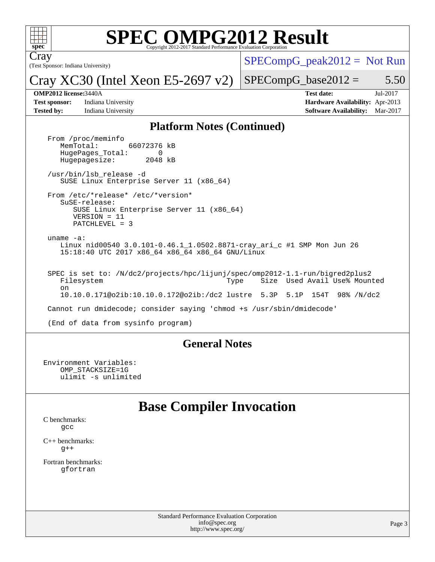

# **[SPEC OMPG2012 Result](http://www.spec.org/auto/omp2012/Docs/result-fields.html#SPECOMPG2012Result)**

(Test Sponsor: Indiana University) Cray

 $SPECompG_peak2012 = Not Run$  $SPECompG_peak2012 = Not Run$ 

## Cray XC30 (Intel Xeon E5-2697 v2)

 $SPECompG_base2012 = 5.50$  $SPECompG_base2012 = 5.50$ 

**[Test sponsor:](http://www.spec.org/auto/omp2012/Docs/result-fields.html#Testsponsor)** Indiana University **[Hardware Availability:](http://www.spec.org/auto/omp2012/Docs/result-fields.html#HardwareAvailability)** Apr-2013 **[Tested by:](http://www.spec.org/auto/omp2012/Docs/result-fields.html#Testedby)** Indiana University **[Software Availability:](http://www.spec.org/auto/omp2012/Docs/result-fields.html#SoftwareAvailability)** Mar-2017

**[OMP2012 license:](http://www.spec.org/auto/omp2012/Docs/result-fields.html#OMP2012license)**3440A **[Test date:](http://www.spec.org/auto/omp2012/Docs/result-fields.html#Testdate)** Jul-2017

### **[Platform Notes \(Continued\)](http://www.spec.org/auto/omp2012/Docs/result-fields.html#PlatformNotes)**

From /proc/meminfo<br>MemTotal: 66072376 kB HugePages\_Total: 0<br>Hugepagesize: 2048 kB Hugepagesize: /usr/bin/lsb\_release -d SUSE Linux Enterprise Server 11 (x86\_64) From /etc/\*release\* /etc/\*version\* SuSE-release: SUSE Linux Enterprise Server 11 (x86\_64) VERSION = 11 PATCHLEVEL = 3 uname -a: Linux nid00540 3.0.101-0.46.1\_1.0502.8871-cray\_ari\_c #1 SMP Mon Jun 26 15:18:40 UTC 2017 x86\_64 x86\_64 x86\_64 GNU/Linux SPEC is set to: /N/dc2/projects/hpc/lijunj/spec/omp2012-1.1-run/bigred2plus2 Filesystem Type Size Used Avail Use% Mounted on 10.10.0.171@o2ib:10.10.0.172@o2ib:/dc2 lustre 5.3P 5.1P 154T 98% /N/dc2 Cannot run dmidecode; consider saying 'chmod +s /usr/sbin/dmidecode' (End of data from sysinfo program)

### **[General Notes](http://www.spec.org/auto/omp2012/Docs/result-fields.html#GeneralNotes)**

Environment Variables: OMP\_STACKSIZE=1G ulimit -s unlimited

# **[Base Compiler Invocation](http://www.spec.org/auto/omp2012/Docs/result-fields.html#BaseCompilerInvocation)**

[C benchmarks](http://www.spec.org/auto/omp2012/Docs/result-fields.html#Cbenchmarks): [gcc](http://www.spec.org/omp2012/results/res2017q3/omp2012-20170728-00112.flags.html#user_CCbase_gcc_e0d511356bd44120af49cc96c9dcf3b3)

[C++ benchmarks:](http://www.spec.org/auto/omp2012/Docs/result-fields.html#CXXbenchmarks)  $g++$ 

[Fortran benchmarks](http://www.spec.org/auto/omp2012/Docs/result-fields.html#Fortranbenchmarks): [gfortran](http://www.spec.org/omp2012/results/res2017q3/omp2012-20170728-00112.flags.html#user_FCbase_gfortran_a303edaa4a81c8aab35b1bda5c9ef7ba)

> Standard Performance Evaluation Corporation [info@spec.org](mailto:info@spec.org) <http://www.spec.org/>